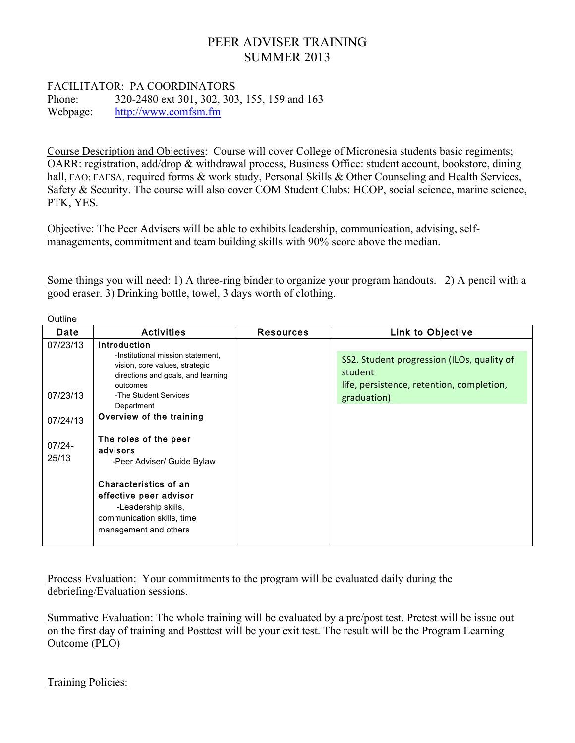## PEER ADVISER TRAINING SUMMER 2013

## FACILITATOR: PA COORDINATORS

Phone: 320-2480 ext 301, 302, 303, 155, 159 and 163 Webpage: http://www.comfsm.fm

Course Description and Objectives: Course will cover College of Micronesia students basic regiments; OARR: registration, add/drop & withdrawal process, Business Office: student account, bookstore, dining hall, FAO: FAFSA, required forms & work study, Personal Skills & Other Counseling and Health Services, Safety & Security. The course will also cover COM Student Clubs: HCOP, social science, marine science, PTK, YES.

Objective: The Peer Advisers will be able to exhibits leadership, communication, advising, selfmanagements, commitment and team building skills with 90% score above the median.

Some things you will need: 1) A three-ring binder to organize your program handouts. 2) A pencil with a good eraser. 3) Drinking bottle, towel, 3 days worth of clothing.

| Outline                                                |                                                                                                                                                                                                                                                                                                                                                                                                                     |                  |                                                                                                                   |  |  |  |  |
|--------------------------------------------------------|---------------------------------------------------------------------------------------------------------------------------------------------------------------------------------------------------------------------------------------------------------------------------------------------------------------------------------------------------------------------------------------------------------------------|------------------|-------------------------------------------------------------------------------------------------------------------|--|--|--|--|
| Date                                                   | <b>Activities</b>                                                                                                                                                                                                                                                                                                                                                                                                   | <b>Resources</b> | <b>Link to Objective</b>                                                                                          |  |  |  |  |
| 07/23/13<br>07/23/13<br>07/24/13<br>$07/24 -$<br>25/13 | <b>Introduction</b><br>-Institutional mission statement.<br>vision, core values, strategic<br>directions and goals, and learning<br>outcomes<br>-The Student Services<br>Department<br>Overview of the training<br>The roles of the peer<br>advisors<br>-Peer Adviser/ Guide Bylaw<br>Characteristics of an<br>effective peer advisor<br>-Leadership skills,<br>communication skills, time<br>management and others |                  | SS2. Student progression (ILOs, quality of<br>student<br>life, persistence, retention, completion,<br>graduation) |  |  |  |  |
|                                                        |                                                                                                                                                                                                                                                                                                                                                                                                                     |                  |                                                                                                                   |  |  |  |  |

Process Evaluation: Your commitments to the program will be evaluated daily during the debriefing/Evaluation sessions.

Summative Evaluation: The whole training will be evaluated by a pre/post test. Pretest will be issue out on the first day of training and Posttest will be your exit test. The result will be the Program Learning Outcome (PLO)

Training Policies: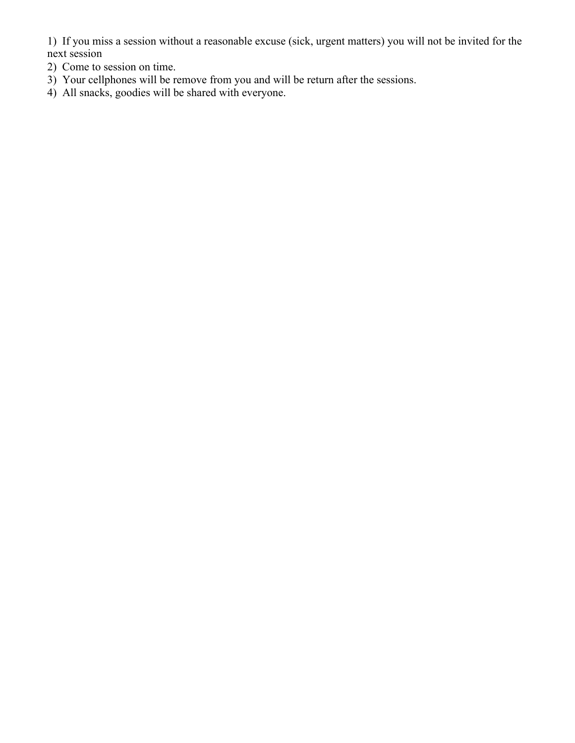1) If you miss a session without a reasonable excuse (sick, urgent matters) you will not be invited for the next session

- 2) Come to session on time.
- 3) Your cellphones will be remove from you and will be return after the sessions.
- 4) All snacks, goodies will be shared with everyone.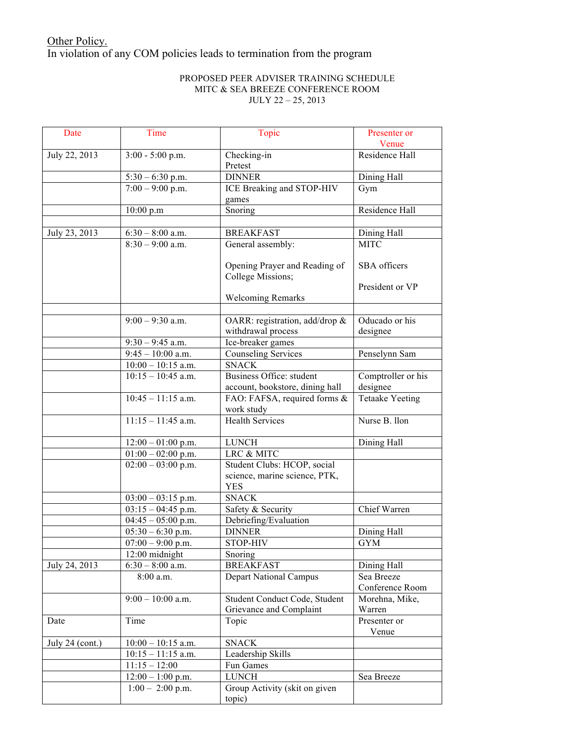## Other Policy. In violation of any COM policies leads to termination from the program

## PROPOSED PEER ADVISER TRAINING SCHEDULE MITC & SEA BREEZE CONFERENCE ROOM JULY 22 – 25, 2013

| Date              | Time                                    | Topic                           | Presenter or<br>Venue  |
|-------------------|-----------------------------------------|---------------------------------|------------------------|
|                   |                                         |                                 |                        |
| July 22, 2013     | 3:00 - 5:00 p.m.                        | Checking-in<br>Pretest          | Residence Hall         |
|                   | $5:30 - 6:30$ p.m.                      | <b>DINNER</b>                   | Dining Hall            |
|                   | $7:00 - 9:00$ p.m.                      | ICE Breaking and STOP-HIV       | Gym                    |
|                   |                                         | games                           |                        |
|                   | 10:00 p.m                               | Snoring                         | Residence Hall         |
|                   |                                         |                                 |                        |
| July 23, 2013     | $6:30 - 8:00$ a.m.                      | <b>BREAKFAST</b>                | Dining Hall            |
|                   | $8:30 - 9:00$ a.m.                      | General assembly:               | <b>MITC</b>            |
|                   |                                         |                                 |                        |
|                   |                                         | Opening Prayer and Reading of   | SBA officers           |
|                   |                                         | College Missions;               |                        |
|                   |                                         |                                 | President or VP        |
|                   |                                         | <b>Welcoming Remarks</b>        |                        |
|                   |                                         |                                 |                        |
|                   | $9:00 - 9:30$ a.m.                      | OARR: registration, add/drop &  | Oducado or his         |
|                   |                                         | withdrawal process              | designee               |
|                   | $\overline{9:}30 - 9:45$ a.m.           | Ice-breaker games               |                        |
|                   | $9:45 - 10:00$ a.m.                     | <b>Counseling Services</b>      | Penselynn Sam          |
|                   | $10:00 - 10:15$ a.m.                    | <b>SNACK</b>                    |                        |
|                   | $10:15 - 10:45$ a.m.                    | Business Office: student        | Comptroller or his     |
|                   |                                         | account, bookstore, dining hall | designee               |
|                   | $10:45 - 11:15$ a.m.                    | FAO: FAFSA, required forms &    | <b>Tetaake Yeeting</b> |
|                   |                                         | work study                      |                        |
|                   | $11:15 - 11:45$ a.m.                    | <b>Health Services</b>          | Nurse B. Ilon          |
|                   | $12:00 - 01:00$ p.m.                    | <b>LUNCH</b>                    | Dining Hall            |
|                   | $\overline{01:}00 - 02:00 \text{ p.m.}$ | LRC & MITC                      |                        |
|                   | $02:00 - 03:00$ p.m.                    | Student Clubs: HCOP, social     |                        |
|                   |                                         | science, marine science, PTK,   |                        |
|                   |                                         | <b>YES</b>                      |                        |
|                   | $03:00 - 03:15$ p.m.                    | <b>SNACK</b>                    |                        |
|                   | $03:15 - 04:45$ p.m.                    | Safety & Security               | Chief Warren           |
|                   | $04:45 - 05:00$ p.m.                    | Debriefing/Evaluation           |                        |
|                   | $05:30 - 6:30$ p.m.                     | <b>DINNER</b>                   | Dining Hall            |
|                   | $07:00 - 9:00$ p.m.                     | STOP-HIV                        | <b>GYM</b>             |
|                   | 12:00 midnight                          | Snoring                         |                        |
| July 24, 2013     | $6:30 - 8:00$ a.m.                      | <b>BREAKFAST</b>                | Dining Hall            |
|                   | 8:00 a.m.                               | <b>Depart National Campus</b>   | Sea Breeze             |
|                   |                                         |                                 | Conference Room        |
|                   | $9:00 - 10:00$ a.m.                     | Student Conduct Code, Student   | Morehna, Mike,         |
|                   |                                         | Grievance and Complaint         | Warren                 |
| Date              | Time                                    | Topic                           | Presenter or           |
|                   |                                         |                                 | Venue                  |
| July $24$ (cont.) | $10:00 - 10:15$ a.m.                    | <b>SNACK</b>                    |                        |
|                   | $10:15 - 11:15$ a.m.                    | Leadership Skills               |                        |
|                   | $11:15 - 12:00$                         | Fun Games                       |                        |
|                   | $12:00 - 1:00$ p.m.                     | <b>LUNCH</b>                    | Sea Breeze             |
|                   | $1:00 - 2:00$ p.m.                      | Group Activity (skit on given   |                        |
|                   |                                         | topic)                          |                        |